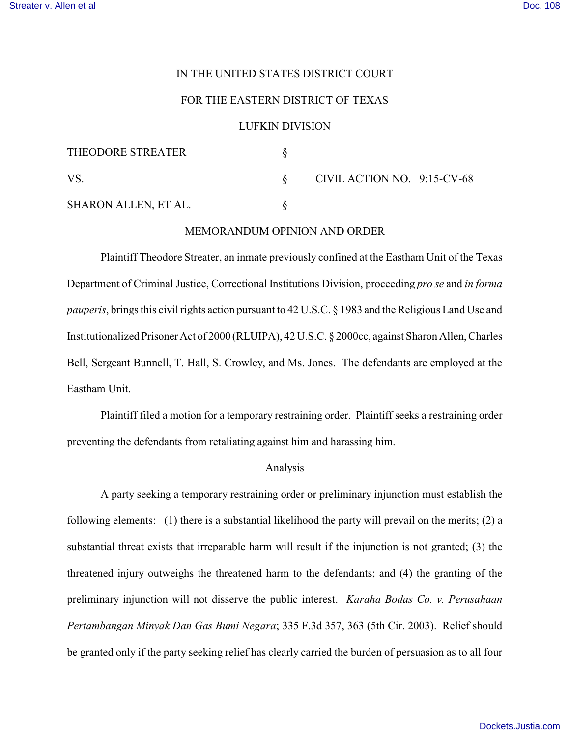## IN THE UNITED STATES DISTRICT COURT

# FOR THE EASTERN DISTRICT OF TEXAS

### LUFKIN DIVISION

| THEODORE STREATER    |                             |  |
|----------------------|-----------------------------|--|
| VS.                  | CIVIL ACTION NO. 9:15-CV-68 |  |
| SHARON ALLEN, ET AL. |                             |  |

# MEMORANDUM OPINION AND ORDER

Plaintiff Theodore Streater, an inmate previously confined at the Eastham Unit of the Texas Department of Criminal Justice, Correctional Institutions Division, proceeding *pro se* and *in forma pauperis*, brings this civil rights action pursuant to 42 U.S.C. § 1983 and the Religious Land Use and Institutionalized Prisoner Act of 2000 (RLUIPA), 42 U.S.C. § 2000cc, against Sharon Allen, Charles Bell, Sergeant Bunnell, T. Hall, S. Crowley, and Ms. Jones. The defendants are employed at the Eastham Unit.

Plaintiff filed a motion for a temporary restraining order. Plaintiff seeks a restraining order preventing the defendants from retaliating against him and harassing him.

## Analysis

A party seeking a temporary restraining order or preliminary injunction must establish the following elements: (1) there is a substantial likelihood the party will prevail on the merits; (2) a substantial threat exists that irreparable harm will result if the injunction is not granted; (3) the threatened injury outweighs the threatened harm to the defendants; and (4) the granting of the preliminary injunction will not disserve the public interest. *Karaha Bodas Co. v. Perusahaan Pertambangan Minyak Dan Gas Bumi Negara*; 335 F.3d 357, 363 (5th Cir. 2003). Relief should be granted only if the party seeking relief has clearly carried the burden of persuasion as to all four